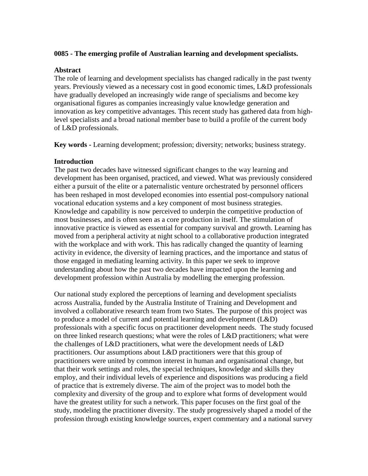### **0085 - The emerging profile of Australian learning and development specialists.**

#### **Abstract**

The role of learning and development specialists has changed radically in the past twenty years. Previously viewed as a necessary cost in good economic times, L&D professionals have gradually developed an increasingly wide range of specialisms and become key organisational figures as companies increasingly value knowledge generation and innovation as key competitive advantages. This recent study has gathered data from highlevel specialists and a broad national member base to build a profile of the current body of L&D professionals.

**Key words -** Learning development; profession; diversity; networks; business strategy.

## **Introduction**

The past two decades have witnessed significant changes to the way learning and development has been organised, practiced, and viewed. What was previously considered either a pursuit of the elite or a paternalistic venture orchestrated by personnel officers has been reshaped in most developed economies into essential post-compulsory national vocational education systems and a key component of most business strategies. Knowledge and capability is now perceived to underpin the competitive production of most businesses, and is often seen as a core production in itself. The stimulation of innovative practice is viewed as essential for company survival and growth. Learning has moved from a peripheral activity at night school to a collaborative production integrated with the workplace and with work. This has radically changed the quantity of learning activity in evidence, the diversity of learning practices, and the importance and status of those engaged in mediating learning activity. In this paper we seek to improve understanding about how the past two decades have impacted upon the learning and development profession within Australia by modelling the emerging profession.

Our national study explored the perceptions of learning and development specialists across Australia, funded by the Australia Institute of Training and Development and involved a collaborative research team from two States. The purpose of this project was to produce a model of current and potential learning and development (L&D) professionals with a specific focus on practitioner development needs. The study focused on three linked research questions; what were the roles of L&D practitioners; what were the challenges of L&D practitioners, what were the development needs of L&D practitioners. Our assumptions about L&D practitioners were that this group of practitioners were united by common interest in human and organisational change, but that their work settings and roles, the special techniques, knowledge and skills they employ, and their individual levels of experience and dispositions was producing a field of practice that is extremely diverse. The aim of the project was to model both the complexity and diversity of the group and to explore what forms of development would have the greatest utility for such a network. This paper focuses on the first goal of the study, modeling the practitioner diversity. The study progressively shaped a model of the profession through existing knowledge sources, expert commentary and a national survey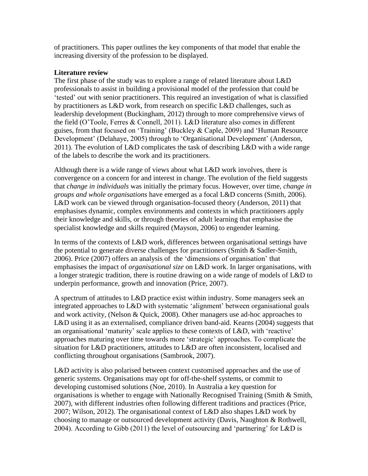of practitioners. This paper outlines the key components of that model that enable the increasing diversity of the profession to be displayed.

## **Literature review**

The first phase of the study was to explore a range of related literature about L&D professionals to assist in building a provisional model of the profession that could be 'tested' out with senior practitioners. This required an investigation of what is classified by practitioners as L&D work, from research on specific L&D challenges, such as leadership development (Buckingham, 2012) through to more comprehensive views of the field (O'Toole, Ferres & Connell, 2011). L&D literature also comes in different guises, from that focused on 'Training' (Buckley & Caple, 2009) and 'Human Resource Development' (Delahaye, 2005) through to 'Organisational Development' (Anderson, 2011). The evolution of L&D complicates the task of describing L&D with a wide range of the labels to describe the work and its practitioners.

Although there is a wide range of views about what L&D work involves, there is convergence on a concern for and interest in change. The evolution of the field suggests that *change in individuals* was initially the primary focus. However, over time, *change in groups and whole organisations* have emerged as a focal L&D concerns (Smith, 2006). L&D work can be viewed through organisation-focused theory (Anderson, 2011) that emphasises dynamic, complex environments and contexts in which practitioners apply their knowledge and skills, or through theories of adult learning that emphasise the specialist knowledge and skills required (Mayson, 2006) to engender learning.

In terms of the contexts of L&D work, differences between organisational settings have the potential to generate diverse challenges for practitioners (Smith & Sadler-Smith, 2006). Price (2007) offers an analysis of the 'dimensions of organisation' that emphasises the impact of *organisational size* on L&D work. In larger organisations, with a longer strategic tradition, there is routine drawing on a wide range of models of L&D to underpin performance, growth and innovation (Price, 2007).

A spectrum of attitudes to L&D practice exist within industry. Some managers seek an integrated approaches to L&D with systematic 'alignment' between organisational goals and work activity, (Nelson & Quick, 2008). Other managers use ad-hoc approaches to L&D using it as an externalised, compliance driven band-aid. Kearns (2004) suggests that an organisational 'maturity' scale applies to these contexts of L&D, with 'reactive' approaches maturing over time towards more 'strategic' approaches. To complicate the situation for L&D practitioners, attitudes to L&D are often inconsistent, localised and conflicting throughout organisations (Sambrook, 2007).

L&D activity is also polarised between context customised approaches and the use of generic systems. Organisations may opt for off-the-shelf systems, or commit to developing customised solutions (Noe, 2010). In Australia a key question for organisations is whether to engage with Nationally Recognised Training (Smith & Smith, 2007), with different industries often following different traditions and practices (Price, 2007; Wilson, 2012). The organisational context of L&D also shapes L&D work by choosing to manage or outsourced development activity (Davis, Naughton & Rothwell, 2004). According to Gibb (2011) the level of outsourcing and 'partnering' for L&D is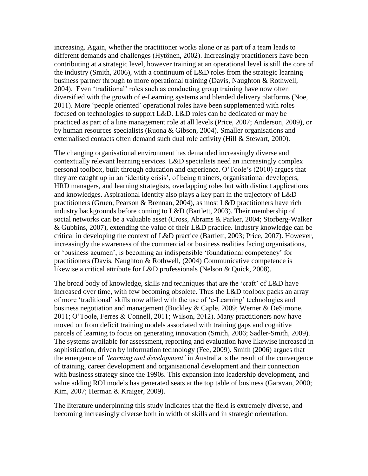increasing. Again, whether the practitioner works alone or as part of a team leads to different demands and challenges (Hytönen, 2002). Increasingly practitioners have been contributing at a strategic level, however training at an operational level is still the core of the industry (Smith, 2006), with a continuum of L&D roles from the strategic learning business partner through to more operational training (Davis, Naughton & Rothwell, 2004). Even 'traditional' roles such as conducting group training have now often diversified with the growth of e-Learning systems and blended delivery platforms (Noe, 2011). More 'people oriented' operational roles have been supplemented with roles focused on technologies to support L&D. L&D roles can be dedicated or may be practiced as part of a line management role at all levels (Price, 2007; Anderson, 2009), or by human resources specialists (Ruona & Gibson, 2004). Smaller organisations and externalised contacts often demand such dual role activity (Hill & Stewart, 2000).

The changing organisational environment has demanded increasingly diverse and contextually relevant learning services. L&D specialists need an increasingly complex personal toolbox, built through education and experience. O'Toole's (2010) argues that they are caught up in an 'identity crisis', of being trainers, organisational developers, HRD managers, and learning strategists, overlapping roles but with distinct applications and knowledges. Aspirational identity also plays a key part in the trajectory of L&D practitioners (Gruen, Pearson & Brennan, 2004), as most L&D practitioners have rich industry backgrounds before coming to L&D (Bartlett, 2003). Their membership of social networks can be a valuable asset (Cross, Abrams & Parker, 2004; Storberg-Walker & Gubbins, 2007), extending the value of their L&D practice. Industry knowledge can be critical in developing the context of L&D practice (Bartlett, 2003; Price, 2007). However, increasingly the awareness of the commercial or business realities facing organisations, or 'business acumen', is becoming an indispensible 'foundational competency' for practitioners (Davis, Naughton & Rothwell, (2004) Communicative competence is likewise a critical attribute for L&D professionals (Nelson & Quick, 2008).

The broad body of knowledge, skills and techniques that are the 'craft' of L&D have increased over time, with few becoming obsolete. Thus the L&D toolbox packs an array of more 'traditional' skills now allied with the use of 'e-Learning' technologies and business negotiation and management (Buckley & Caple, 2009; Werner & DeSimone, 2011; O'Toole, Ferres & Connell, 2011; Wilson, 2012). Many practitioners now have moved on from deficit training models associated with training gaps and cognitive parcels of learning to focus on generating innovation (Smith, 2006; Sadler-Smith, 2009). The systems available for assessment, reporting and evaluation have likewise increased in sophistication, driven by information technology (Fee, 2009). Smith (2006) argues that the emergence of *'learning and development'* in Australia is the result of the convergence of training, career development and organisational development and their connection with business strategy since the 1990s. This expansion into leadership development, and value adding ROI models has generated seats at the top table of business (Garavan, 2000; Kim, 2007; Herman & Kraiger, 2009).

The literature underpinning this study indicates that the field is extremely diverse, and becoming increasingly diverse both in width of skills and in strategic orientation.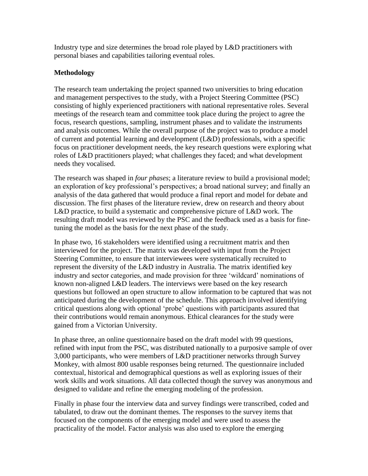Industry type and size determines the broad role played by L&D practitioners with personal biases and capabilities tailoring eventual roles.

# **Methodology**

The research team undertaking the project spanned two universities to bring education and management perspectives to the study, with a Project Steering Committee (PSC) consisting of highly experienced practitioners with national representative roles. Several meetings of the research team and committee took place during the project to agree the focus, research questions, sampling, instrument phases and to validate the instruments and analysis outcomes. While the overall purpose of the project was to produce a model of current and potential learning and development (L&D) professionals, with a specific focus on practitioner development needs, the key research questions were exploring what roles of L&D practitioners played; what challenges they faced; and what development needs they vocalised.

The research was shaped in *four phases*; a literature review to build a provisional model; an exploration of key professional's perspectives; a broad national survey; and finally an analysis of the data gathered that would produce a final report and model for debate and discussion. The first phases of the literature review, drew on research and theory about L&D practice, to build a systematic and comprehensive picture of L&D work. The resulting draft model was reviewed by the PSC and the feedback used as a basis for finetuning the model as the basis for the next phase of the study.

In phase two, 16 stakeholders were identified using a recruitment matrix and then interviewed for the project. The matrix was developed with input from the Project Steering Committee, to ensure that interviewees were systematically recruited to represent the diversity of the L&D industry in Australia. The matrix identified key industry and sector categories, and made provision for three 'wildcard' nominations of known non-aligned L&D leaders. The interviews were based on the key research questions but followed an open structure to allow information to be captured that was not anticipated during the development of the schedule. This approach involved identifying critical questions along with optional 'probe' questions with participants assured that their contributions would remain anonymous. Ethical clearances for the study were gained from a Victorian University.

In phase three, an online questionnaire based on the draft model with 99 questions, refined with input from the PSC, was distributed nationally to a purposive sample of over 3,000 participants, who were members of L&D practitioner networks through Survey Monkey, with almost 800 usable responses being returned. The questionnaire included contextual, historical and demographical questions as well as exploring issues of their work skills and work situations. All data collected though the survey was anonymous and designed to validate and refine the emerging modeling of the profession.

Finally in phase four the interview data and survey findings were transcribed, coded and tabulated, to draw out the dominant themes. The responses to the survey items that focused on the components of the emerging model and were used to assess the practicality of the model. Factor analysis was also used to explore the emerging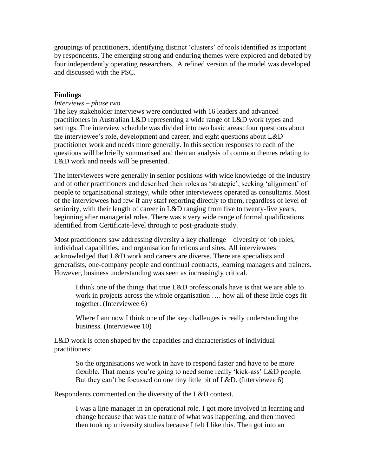groupings of practitioners, identifying distinct 'clusters' of tools identified as important by respondents. The emerging strong and enduring themes were explored and debated by four independently operating researchers. A refined version of the model was developed and discussed with the PSC.

## **Findings**

### *Interviews – phase two*

The key stakeholder interviews were conducted with 16 leaders and advanced practitioners in Australian L&D representing a wide range of L&D work types and settings. The interview schedule was divided into two basic areas: four questions about the interviewee's role, development and career, and eight questions about L&D practitioner work and needs more generally. In this section responses to each of the questions will be briefly summarised and then an analysis of common themes relating to L&D work and needs will be presented.

The interviewees were generally in senior positions with wide knowledge of the industry and of other practitioners and described their roles as 'strategic', seeking 'alignment' of people to organisational strategy, while other interviewees operated as consultants. Most of the interviewees had few if any staff reporting directly to them, regardless of level of seniority, with their length of career in L&D ranging from five to twenty-five years, beginning after managerial roles. There was a very wide range of formal qualifications identified from Certificate-level through to post-graduate study.

Most practitioners saw addressing diversity a key challenge – diversity of job roles, individual capabilities, and organisation functions and sites. All interviewees acknowledged that L&D work and careers are diverse. There are specialists and generalists, one-company people and continual contracts, learning managers and trainers. However, business understanding was seen as increasingly critical.

I think one of the things that true L&D professionals have is that we are able to work in projects across the whole organisation …. how all of these little cogs fit together. (Interviewee 6)

Where I am now I think one of the key challenges is really understanding the business. (Interviewee 10)

L&D work is often shaped by the capacities and characteristics of individual practitioners:

So the organisations we work in have to respond faster and have to be more flexible. That means you're going to need some really 'kick-ass' L&D people. But they can't be focussed on one tiny little bit of L&D. (Interviewee 6)

Respondents commented on the diversity of the L&D context.

I was a line manager in an operational role. I got more involved in learning and change because that was the nature of what was happening, and then moved – then took up university studies because I felt I like this. Then got into an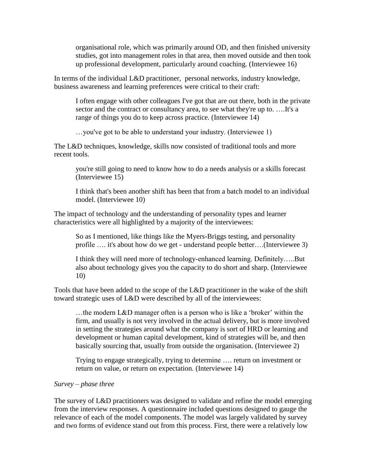organisational role, which was primarily around OD, and then finished university studies, got into management roles in that area, then moved outside and then took up professional development, particularly around coaching. (Interviewee 16)

In terms of the individual L&D practitioner, personal networks, industry knowledge, business awareness and learning preferences were critical to their craft:

I often engage with other colleagues I've got that are out there, both in the private sector and the contract or consultancy area, to see what they're up to. ....It's a range of things you do to keep across practice. (Interviewee 14)

…you've got to be able to understand your industry. (Interviewee 1)

The L&D techniques, knowledge, skills now consisted of traditional tools and more recent tools.

you're still going to need to know how to do a needs analysis or a skills forecast (Interviewee 15)

I think that's been another shift has been that from a batch model to an individual model. (Interviewee 10)

The impact of technology and the understanding of personality types and learner characteristics were all highlighted by a majority of the interviewees:

So as I mentioned, like things like the Myers-Briggs testing, and personality profile …. it's about how do we get - understand people better….(Interviewee 3)

I think they will need more of technology-enhanced learning. Definitely…..But also about technology gives you the capacity to do short and sharp. (Interviewee 10)

Tools that have been added to the scope of the L&D practitioner in the wake of the shift toward strategic uses of L&D were described by all of the interviewees:

…the modern L&D manager often is a person who is like a 'broker' within the firm, and usually is not very involved in the actual delivery, but is more involved in setting the strategies around what the company is sort of HRD or learning and development or human capital development, kind of strategies will be, and then basically sourcing that, usually from outside the organisation. (Interviewee 2)

Trying to engage strategically, trying to determine …. return on investment or return on value, or return on expectation. (Interviewee 14)

## *Survey – phase three*

The survey of L&D practitioners was designed to validate and refine the model emerging from the interview responses. A questionnaire included questions designed to gauge the relevance of each of the model components. The model was largely validated by survey and two forms of evidence stand out from this process. First, there were a relatively low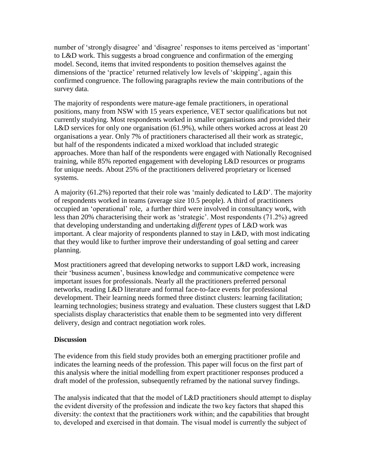number of 'strongly disagree' and 'disagree' responses to items perceived as 'important' to L&D work. This suggests a broad congruence and confirmation of the emerging model. Second, items that invited respondents to position themselves against the dimensions of the 'practice' returned relatively low levels of 'skipping', again this confirmed congruence. The following paragraphs review the main contributions of the survey data.

The majority of respondents were mature-age female practitioners, in operational positions, many from NSW with 15 years experience, VET sector qualifications but not currently studying. Most respondents worked in smaller organisations and provided their L&D services for only one organisation (61.9%), while others worked across at least 20 organisations a year. Only 7% of practitioners characterised all their work as strategic, but half of the respondents indicated a mixed workload that included strategic approaches. More than half of the respondents were engaged with Nationally Recognised training, while 85% reported engagement with developing L&D resources or programs for unique needs. About 25% of the practitioners delivered proprietary or licensed systems.

A majority (61.2%) reported that their role was 'mainly dedicated to L&D'. The majority of respondents worked in teams (average size 10.5 people). A third of practitioners occupied an 'operational' role, a further third were involved in consultancy work, with less than 20% characterising their work as 'strategic'. Most respondents (71.2%) agreed that developing understanding and undertaking *different types* of L&D work was important. A clear majority of respondents planned to stay in L&D, with most indicating that they would like to further improve their understanding of goal setting and career planning.

Most practitioners agreed that developing networks to support L&D work, increasing their 'business acumen', business knowledge and communicative competence were important issues for professionals. Nearly all the practitioners preferred personal networks, reading L&D literature and formal face-to-face events for professional development. Their learning needs formed three distinct clusters: learning facilitation; learning technologies; business strategy and evaluation. These clusters suggest that L&D specialists display characteristics that enable them to be segmented into very different delivery, design and contract negotiation work roles.

## **Discussion**

The evidence from this field study provides both an emerging practitioner profile and indicates the learning needs of the profession. This paper will focus on the first part of this analysis where the initial modelling from expert practitioner responses produced a draft model of the profession, subsequently reframed by the national survey findings.

The analysis indicated that that the model of L&D practitioners should attempt to display the evident diversity of the profession and indicate the two key factors that shaped this diversity: the context that the practitioners work within; and the capabilities that brought to, developed and exercised in that domain. The visual model is currently the subject of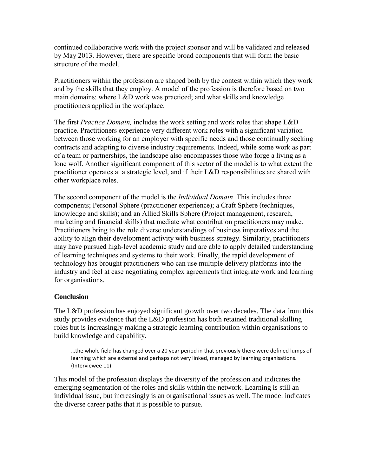continued collaborative work with the project sponsor and will be validated and released by May 2013. However, there are specific broad components that will form the basic structure of the model.

Practitioners within the profession are shaped both by the contest within which they work and by the skills that they employ. A model of the profession is therefore based on two main domains: where L&D work was practiced; and what skills and knowledge practitioners applied in the workplace.

The first *Practice Domain,* includes the work setting and work roles that shape L&D practice. Practitioners experience very different work roles with a significant variation between those working for an employer with specific needs and those continually seeking contracts and adapting to diverse industry requirements. Indeed, while some work as part of a team or partnerships, the landscape also encompasses those who forge a living as a lone wolf. Another significant component of this sector of the model is to what extent the practitioner operates at a strategic level, and if their L&D responsibilities are shared with other workplace roles.

The second component of the model is the *Individual Domain*. This includes three components; Personal Sphere (practitioner experience); a Craft Sphere (techniques, knowledge and skills); and an Allied Skills Sphere (Project management, research, marketing and financial skills) that mediate what contribution practitioners may make. Practitioners bring to the role diverse understandings of business imperatives and the ability to align their development activity with business strategy. Similarly, practitioners may have pursued high-level academic study and are able to apply detailed understanding of learning techniques and systems to their work. Finally, the rapid development of technology has brought practitioners who can use multiple delivery platforms into the industry and feel at ease negotiating complex agreements that integrate work and learning for organisations.

# **Conclusion**

The L&D profession has enjoyed significant growth over two decades. The data from this study provides evidence that the L&D profession has both retained traditional skilling roles but is increasingly making a strategic learning contribution within organisations to build knowledge and capability.

…the whole field has changed over a 20 year period in that previously there were defined lumps of learning which are external and perhaps not very linked, managed by learning organisations. (Interviewee 11)

This model of the profession displays the diversity of the profession and indicates the emerging segmentation of the roles and skills within the network. Learning is still an individual issue, but increasingly is an organisational issues as well. The model indicates the diverse career paths that it is possible to pursue.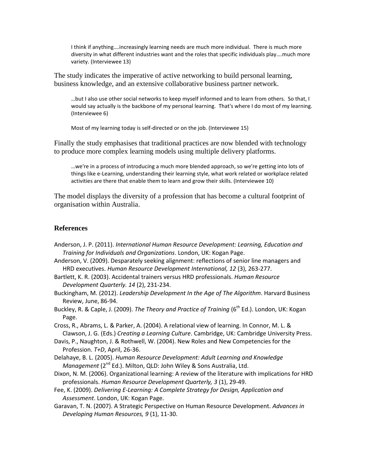I think if anything….increasingly learning needs are much more individual. There is much more diversity in what different industries want and the roles that specific individuals play….much more variety. (Interviewee 13)

The study indicates the imperative of active networking to build personal learning, business knowledge, and an extensive collaborative business partner network.

…but I also use other social networks to keep myself informed and to learn from others. So that, I would say actually is the backbone of my personal learning. That's where I do most of my learning. (Interviewee 6)

Most of my learning today is self-directed or on the job. (Interviewee 15)

Finally the study emphasises that traditional practices are now blended with technology to produce more complex learning models using multiple delivery platforms.

…we're in a process of introducing a much more blended approach, so we're getting into lots of things like e-Learning, understanding their learning style, what work related or workplace related activities are there that enable them to learn and grow their skills. (Interviewee 10)

The model displays the diversity of a profession that has become a cultural footprint of organisation within Australia.

#### **References**

Anderson, J. P. (2011). *International Human Resource Development: Learning, Education and Training for Individuals and Organizations*. London, UK: Kogan Page.

Anderson, V. (2009). Desparately seeking alignment: reflections of senior line managers and HRD executives. *Human Resource Development International, 12* (3), 263-277.

Bartlett, K. R. (2003). Accidental trainers versus HRD professionals. *Human Resource Development Quarterly. 14* (2), 231-234.

Buckingham, M. (2012). *Leadership Development In the Age of The Algorithm*. Harvard Business Review, June, 86-94.

Buckley, R. & Caple, J. (2009). *The Theory and Practice of Training* (6<sup>th</sup> Ed.). London, UK: Kogan Page.

Cross, R., Abrams, L. & Parker, A. (2004). A relational view of learning. In Connor, M. L. & Clawson, J. G. (Eds.) *Creating a Learning Culture*. Cambridge, UK: Cambridge University Press.

- Davis, P., Naughton, J. & Rothwell, W. (2004). New Roles and New Competencies for the Profession. *T+D*, April, 26-36.
- Delahaye, B. L. (2005). *Human Resource Development: Adult Learning and Knowledge Management* (2<sup>nd</sup> Ed.). Milton, QLD: John Wiley & Sons Australia, Ltd.
- Dixon, N. M. (2006). Organizational learning: A review of the literature with implications for HRD professionals. *Human Resource Development Quarterly, 3* (1), 29-49.
- Fee, K. (2009). *Delivering E-Learning: A Complete Strategy for Design, Application and Assessment*. London, UK: Kogan Page.
- Garavan, T. N. (2007). A Strategic Perspective on Human Resource Development. *Advances in Developing Human Resources, 9* (1), 11-30.